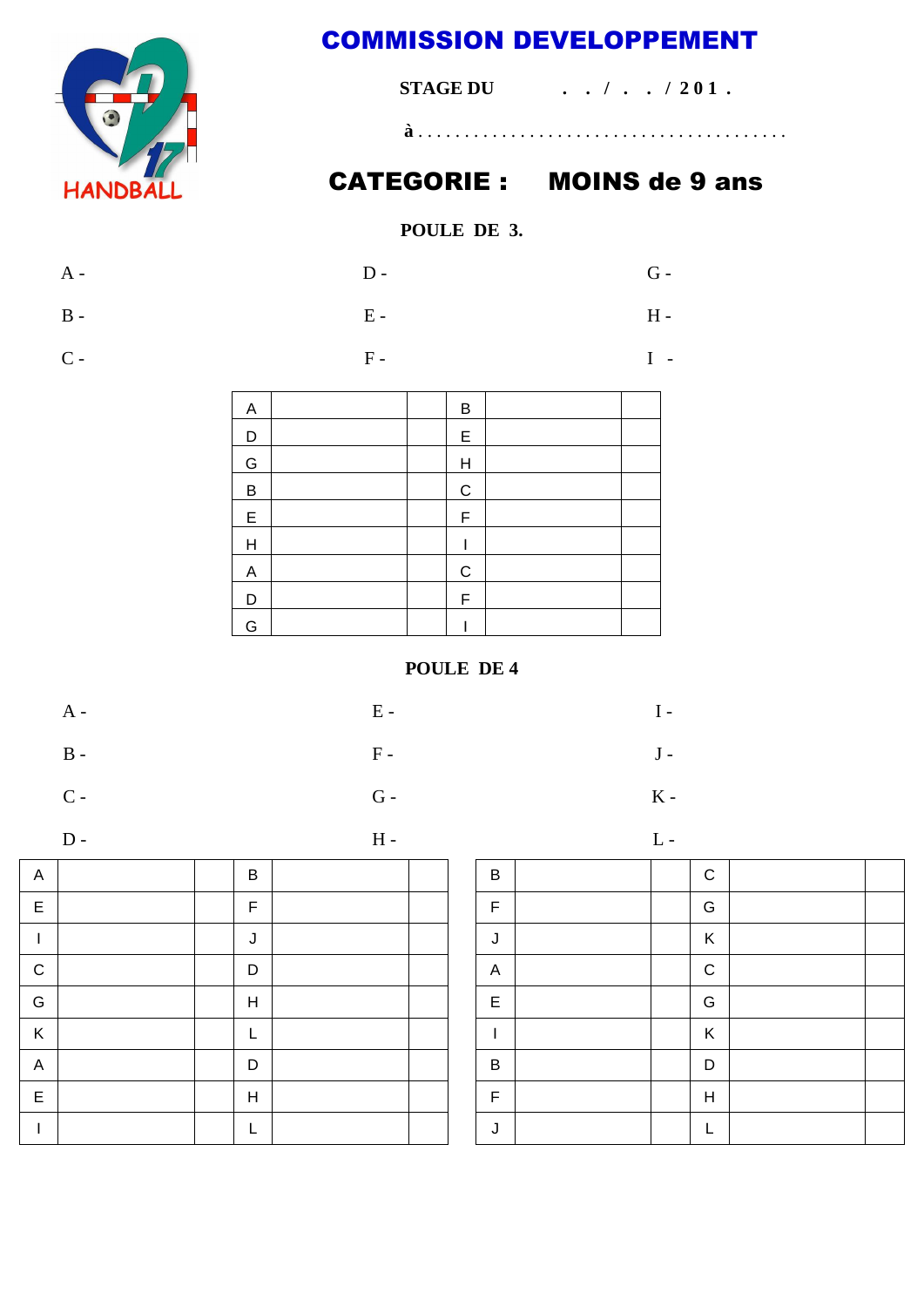

## **COMMISSION DEVELOPPEMENT**

| <b>STAGE DU</b><br>$\ldots$ , $\ldots$ , $\sqrt{201}$ . |  |  |  |  |  |  |
|---------------------------------------------------------|--|--|--|--|--|--|
|                                                         |  |  |  |  |  |  |

## **CATEGORIE: MOINS de 9 ans**

## POULE DE 3.

| A -            | $D -$ | $G -$ |
|----------------|-------|-------|
| $\, {\bf B}$ - | $E -$ | $H -$ |
| $C -$          | $F -$ | $I -$ |

| Α |  | B            |  |
|---|--|--------------|--|
| D |  | $\mathsf E$  |  |
| G |  | $\mathsf{H}$ |  |
| B |  | $\mathsf C$  |  |
| E |  | F            |  |
| H |  |              |  |
| A |  | $\mathbf C$  |  |
| D |  | $\mathsf F$  |  |
| G |  |              |  |

## POULE DE 4

 ${\bf F}$  -

 $G -$ 

 $H -$ 

| $\mathbf{A}$ –<br>-<br>$ -$ |
|-----------------------------|
|-----------------------------|

- 
- $\, {\bf B}$  -

 $C -$ 

$$
\mathbf{D}
$$

 $\overline{A}$  $\overline{B}$  $\mathsf E$  $\overline{F}$  $\mathbf{I}$  $\mathsf{J}$  $\mathsf{C}$  $\mathsf D$ G  $\mathsf{H}$  $\mathsf{K}$  $\mathsf{L}$  $\overline{A}$ D  $\mathsf{E}% _{\mathsf{H}}$  $H$  $\mathbf{I}$  $\mathsf{L}$ 

 $L -$ 

 $I -$ 

 $J -$ 

 $K -$ 

| $\sf B$      |  | $\mathsf C$             |  |
|--------------|--|-------------------------|--|
| F            |  | G                       |  |
| J            |  | Κ                       |  |
| $\mathsf{A}$ |  | $\mathsf C$             |  |
| $\mathsf E$  |  | G                       |  |
|              |  | $\sf K$                 |  |
| B            |  | D                       |  |
| F            |  | $\overline{\mathsf{H}}$ |  |
| J            |  | L                       |  |